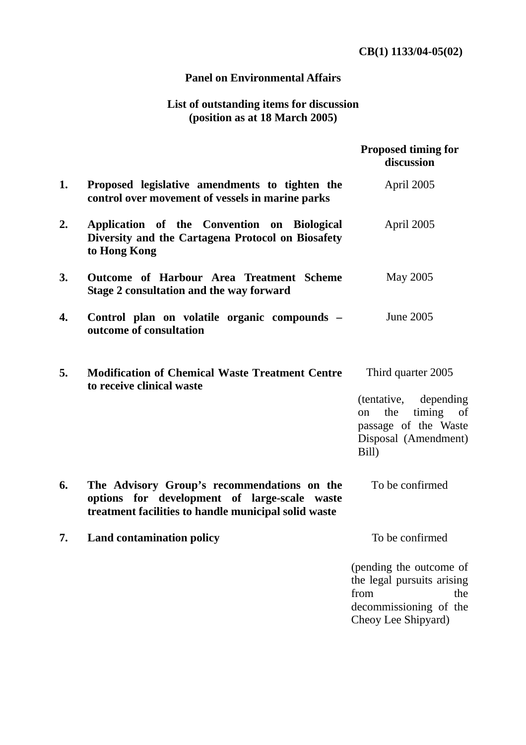## **Panel on Environmental Affairs**

## **List of outstanding items for discussion (position as at 18 March 2005)**

|    |                                                                                                                                                     | Proposed timing for<br>discussion                                                                                                    |  |
|----|-----------------------------------------------------------------------------------------------------------------------------------------------------|--------------------------------------------------------------------------------------------------------------------------------------|--|
| 1. | Proposed legislative amendments to tighten the<br>control over movement of vessels in marine parks                                                  | April 2005                                                                                                                           |  |
| 2. | Application of the Convention on Biological<br>Diversity and the Cartagena Protocol on Biosafety<br>to Hong Kong                                    | April 2005                                                                                                                           |  |
| 3. | Outcome of Harbour Area Treatment Scheme<br>Stage 2 consultation and the way forward                                                                | May 2005                                                                                                                             |  |
| 4. | Control plan on volatile organic compounds -<br>outcome of consultation                                                                             | <b>June 2005</b>                                                                                                                     |  |
| 5. | <b>Modification of Chemical Waste Treatment Centre</b><br>to receive clinical waste                                                                 | Third quarter 2005<br>depending<br>(tentative,<br>the<br>timing<br>of<br>on<br>passage of the Waste<br>Disposal (Amendment)<br>Bill) |  |
| 6. | The Advisory Group's recommendations on the<br>options for development of large-scale waste<br>treatment facilities to handle municipal solid waste | To be confirmed                                                                                                                      |  |
| 7. | <b>Land contamination policy</b>                                                                                                                    | To be confirmed                                                                                                                      |  |
|    |                                                                                                                                                     | (pending the outcome of<br>the legal pursuits arising<br>the<br>from<br>decommissioning of the<br>Cheoy Lee Shipyard)                |  |